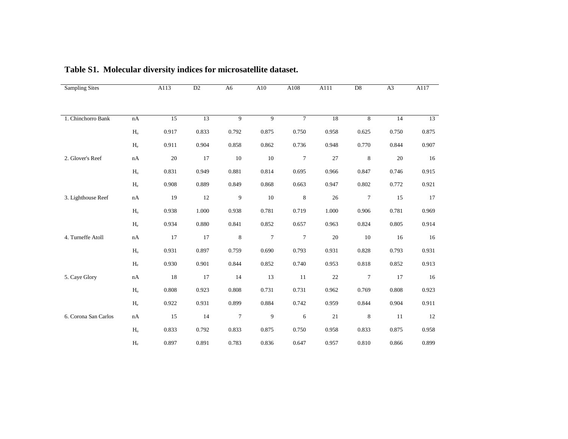| <b>Sampling Sites</b> |                           | A113  | D2    | A <sub>6</sub> | A10    | A108             | A111   | D <sub>8</sub>  | A3    | A117  |
|-----------------------|---------------------------|-------|-------|----------------|--------|------------------|--------|-----------------|-------|-------|
|                       |                           |       |       |                |        |                  |        |                 |       |       |
|                       |                           |       |       |                |        |                  |        |                 |       |       |
| 1. Chinchorro Bank    | nA                        | 15    | 13    | $\overline{9}$ | 9      | $\overline{7}$   | 18     | 8               | 14    | 13    |
|                       | H <sub>o</sub>            | 0.917 | 0.833 | 0.792          | 0.875  | 0.750            | 0.958  | 0.625           | 0.750 | 0.875 |
|                       | $H_{\rm e}$               | 0.911 | 0.904 | 0.858          | 0.862  | 0.736            | 0.948  | 0.770           | 0.844 | 0.907 |
| 2. Glover's Reef      | nA                        | 20    | 17    | 10             | 10     | $\tau$           | 27     | 8               | 20    | 16    |
|                       | $H_{o}$                   | 0.831 | 0.949 | 0.881          | 0.814  | 0.695            | 0.966  | 0.847           | 0.746 | 0.915 |
|                       | $\mathbf{H}_{\mathrm{e}}$ | 0.908 | 0.889 | 0.849          | 0.868  | 0.663            | 0.947  | 0.802           | 0.772 | 0.921 |
| 3. Lighthouse Reef    | nA                        | 19    | 12    | 9              | 10     | 8                | 26     | $\tau$          | 15    | 17    |
|                       | $H_{o}$                   | 0.938 | 1.000 | 0.938          | 0.781  | 0.719            | 1.000  | 0.906           | 0.781 | 0.969 |
|                       | $\mathbf{H}_{\mathrm{e}}$ | 0.934 | 0.880 | 0.841          | 0.852  | 0.657            | 0.963  | 0.824           | 0.805 | 0.914 |
| 4. Turneffe Atoll     | nA                        | 17    | 17    | $\,8\,$        | $\tau$ | $\boldsymbol{7}$ | $20\,$ | 10              | 16    | 16    |
|                       | $H_{o}$                   | 0.931 | 0.897 | 0.759          | 0.690  | 0.793            | 0.931  | 0.828           | 0.793 | 0.931 |
|                       | $\mathbf{H}_{\mathrm{e}}$ | 0.930 | 0.901 | 0.844          | 0.852  | 0.740            | 0.953  | 0.818           | 0.852 | 0.913 |
| 5. Caye Glory         | nA                        | 18    | 17    | 14             | 13     | 11               | 22     | $7\phantom{.0}$ | 17    | 16    |
|                       | H <sub>o</sub>            | 0.808 | 0.923 | 0.808          | 0.731  | 0.731            | 0.962  | 0.769           | 0.808 | 0.923 |
|                       | $H_e$                     | 0.922 | 0.931 | 0.899          | 0.884  | 0.742            | 0.959  | 0.844           | 0.904 | 0.911 |
| 6. Corona San Carlos  | nA                        | 15    | 14    | $\tau$         | 9      | 6                | 21     | 8               | 11    | 12    |
|                       | H <sub>o</sub>            | 0.833 | 0.792 | 0.833          | 0.875  | 0.750            | 0.958  | 0.833           | 0.875 | 0.958 |
|                       | $H_e$                     | 0.897 | 0.891 | 0.783          | 0.836  | 0.647            | 0.957  | 0.810           | 0.866 | 0.899 |

**Table S1. Molecular diversity indices for microsatellite dataset.**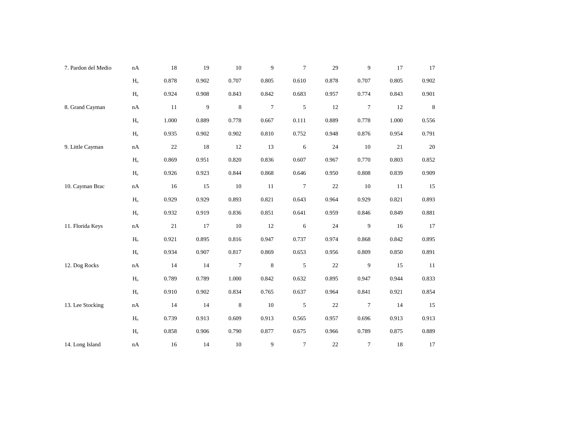| 7. Pardon del Medio | nA                        | 18    | 19               | 10          | 9              | $\tau$        | 29     | 9              | 17    | 17             |
|---------------------|---------------------------|-------|------------------|-------------|----------------|---------------|--------|----------------|-------|----------------|
|                     | $\mathbf{H}_{\rm o}$      | 0.878 | 0.902            | 0.707       | 0.805          | 0.610         | 0.878  | 0.707          | 0.805 | 0.902          |
|                     | $H_{\rm e}$               | 0.924 | 0.908            | 0.843       | 0.842          | 0.683         | 0.957  | 0.774          | 0.843 | 0.901          |
| 8. Grand Cayman     | nA                        | 11    | $\boldsymbol{9}$ | 8           | $\overline{7}$ | 5             | 12     | $\tau$         | 12    | $8\phantom{1}$ |
|                     | $\mathbf{H}_\mathrm{o}$   | 1.000 | 0.889            | 0.778       | 0.667          | 0.111         | 0.889  | 0.778          | 1.000 | 0.556          |
|                     | $H_{\rm e}$               | 0.935 | 0.902            | 0.902       | 0.810          | 0.752         | 0.948  | 0.876          | 0.954 | 0.791          |
| 9. Little Cayman    | $\mathrm{n}\mathrm{A}$    | 22    | 18               | 12          | 13             | 6             | 24     | 10             | 21    | 20             |
|                     | $\rm H_{o}$               | 0.869 | 0.951            | 0.820       | 0.836          | 0.607         | 0.967  | 0.770          | 0.803 | 0.852          |
|                     | $\mathbf{H}_{\mathrm{e}}$ | 0.926 | 0.923            | 0.844       | 0.868          | 0.646         | 0.950  | 0.808          | 0.839 | 0.909          |
| 10. Cayman Brac     | $\mathrm{n}\mathrm{A}$    | 16    | 15               | 10          | 11             | $\tau$        | $22\,$ | 10             | 11    | 15             |
|                     | $\rm H_o$                 | 0.929 | 0.929            | 0.893       | 0.821          | 0.643         | 0.964  | 0.929          | 0.821 | 0.893          |
|                     | $H_e$                     | 0.932 | 0.919            | 0.836       | 0.851          | 0.641         | 0.959  | 0.846          | 0.849 | 0.881          |
| 11. Florida Keys    | $\mathrm{n}\mathrm{A}$    | 21    | 17               | 10          | 12             | 6             | 24     | $\overline{9}$ | 16    | 17             |
|                     | $\mathbf{H}_\mathrm{o}$   | 0.921 | 0.895            | 0.816       | 0.947          | 0.737         | 0.974  | 0.868          | 0.842 | 0.895          |
|                     | $H_{\rm e}$               | 0.934 | 0.907            | 0.817       | 0.869          | 0.653         | 0.956  | 0.809          | 0.850 | 0.891          |
| 12. Dog Rocks       | $\mathrm{n}\mathrm{A}$    | 14    | 14               | $\tau$      | $\,$ 8 $\,$    | $\sqrt{5}$    | $22\,$ | $\overline{9}$ | 15    | 11             |
|                     | H <sub>o</sub>            | 0.789 | 0.789            | 1.000       | 0.842          | 0.632         | 0.895  | 0.947          | 0.944 | 0.833          |
|                     | $\rm H_e$                 | 0.910 | 0.902            | 0.834       | 0.765          | 0.637         | 0.964  | 0.841          | 0.921 | 0.854          |
| 13. Lee Stocking    | $\mathbf{n}\mathbf{A}$    | 14    | 14               | $\,$ 8 $\,$ | $10\,$         | $\mathfrak s$ | $22\,$ | $\overline{7}$ | 14    | 15             |
|                     | $\mathbf{H}_{\rm o}$      | 0.739 | 0.913            | 0.609       | 0.913          | 0.565         | 0.957  | 0.696          | 0.913 | 0.913          |
|                     | $\rm H_e$                 | 0.858 | 0.906            | 0.790       | 0.877          | 0.675         | 0.966  | 0.789          | 0.875 | 0.889          |
| 14. Long Island     | $\mathrm{n}\mathrm{A}$    | 16    | 14               | 10          | 9              | $\tau$        | 22     | $\tau$         | 18    | 17             |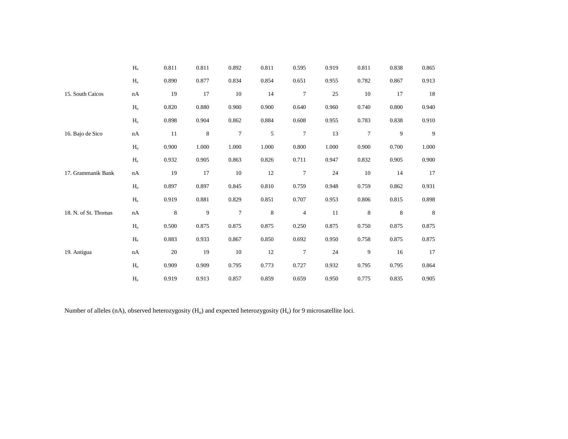|                      | H <sub>o</sub>            | 0.811   | 0.811 | 0.892          | 0.811 | 0.595            | 0.919 | 0.811  | 0.838 | 0.865 |
|----------------------|---------------------------|---------|-------|----------------|-------|------------------|-------|--------|-------|-------|
|                      | $\mathbf{H}_{\mathrm{e}}$ | 0.890   | 0.877 | 0.834          | 0.854 | 0.651            | 0.955 | 0.782  | 0.867 | 0.913 |
| 15. South Caicos     | nA                        | 19      | 17    | 10             | 14    | 7                | 25    | 10     | 17    | 18    |
|                      | $\rm H_{o}$               | 0.820   | 0.880 | 0.900          | 0.900 | 0.640            | 0.960 | 0.740  | 0.800 | 0.940 |
|                      | $H_{\rm e}$               | 0.898   | 0.904 | 0.862          | 0.884 | 0.608            | 0.955 | 0.783  | 0.838 | 0.910 |
| 16. Bajo de Sico     | nA                        | 11      | 8     | $\tau$         | 5     | 7                | 13    | $\tau$ | 9     | 9     |
|                      | $\rm H_{o}$               | 0.900   | 1.000 | 1.000          | 1.000 | 0.800            | 1.000 | 0.900  | 0.700 | 1.000 |
|                      | $H_e$                     | 0.932   | 0.905 | 0.863          | 0.826 | 0.711            | 0.947 | 0.832  | 0.905 | 0.900 |
| 17. Grammanik Bank   | nA                        | 19      | 17    | 10             | 12    | $\boldsymbol{7}$ | 24    | 10     | 14    | 17    |
|                      | H <sub>o</sub>            | 0.897   | 0.897 | 0.845          | 0.810 | 0.759            | 0.948 | 0.759  | 0.862 | 0.931 |
|                      | $H_e$                     | 0.919   | 0.881 | 0.829          | 0.851 | 0.707            | 0.953 | 0.806  | 0.815 | 0.898 |
| 18. N. of St. Thomas | nA                        | $\,8\,$ | 9     | $\overline{7}$ | 8     | $\overline{4}$   | 11    | 8      | 8     | 8     |
|                      | $H_{o}$                   | 0.500   | 0.875 | 0.875          | 0.875 | 0.250            | 0.875 | 0.750  | 0.875 | 0.875 |
|                      | $\mathbf{H}_{\mathrm{e}}$ | 0.883   | 0.933 | 0.867          | 0.850 | 0.692            | 0.950 | 0.758  | 0.875 | 0.875 |
| 19. Antigua          | nA                        | 20      | 19    | 10             | 12    | 7                | 24    | 9      | 16    | 17    |
|                      | H <sub>o</sub>            | 0.909   | 0.909 | 0.795          | 0.773 | 0.727            | 0.932 | 0.795  | 0.795 | 0.864 |
|                      | $H_{\rm e}$               | 0.919   | 0.913 | 0.857          | 0.859 | 0.659            | 0.950 | 0.775  | 0.835 | 0.905 |

Number of alleles (nA), observed heterozygosity ( $H_o$ ) and expected heterozygosity ( $H_e$ ) for 9 microsatellite loci.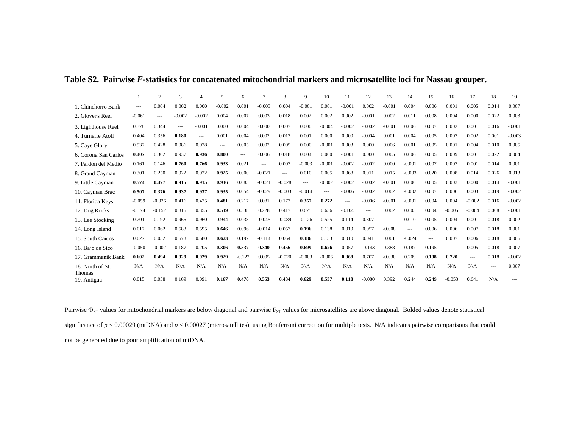|                            |          | $\overline{2}$ | $\mathcal{R}$ |          |          | 6        | $\mathcal{I}$  | 8        | 9        | 10            |                | 12       | 13       | 14       | 15       | 16       | 17       | 18    | 19       |
|----------------------------|----------|----------------|---------------|----------|----------|----------|----------------|----------|----------|---------------|----------------|----------|----------|----------|----------|----------|----------|-------|----------|
| 1. Chinchorro Bank         | $---$    | 0.004          | 0.002         | 0.000    | $-0.002$ | 0.001    | $-0.003$       | 0.004    | $-0.001$ | 0.001         | $-0.001$       | 0.002    | $-0.001$ | 0.004    | 0.006    | 0.001    | 0.005    | 0.014 | 0.007    |
| 2. Glover's Reef           | $-0.061$ | $---$          | $-0.002$      | $-0.002$ | 0.004    | 0.007    | 0.003          | 0.018    | 0.002    | 0.002         | 0.002          | $-0.001$ | 0.002    | 0.011    | 0.008    | 0.004    | 0.000    | 0.022 | 0.003    |
| 3. Lighthouse Reef         | 0.378    | 0.344          | ---           | $-0.001$ | 0.000    | 0.004    | 0.000          | 0.007    | 0.000    | $-0.004$      | $-0.002$       | $-0.002$ | $-0.001$ | 0.006    | 0.007    | 0.002    | 0.001    | 0.016 | $-0.001$ |
| 4. Turneffe Atoll          | 0.404    | 0.356          | 0.180         | $\cdots$ | 0.001    | 0.004    | 0.002          | 0.012    | 0.001    | 0.000         | 0.000          | $-0.004$ | 0.001    | 0.004    | 0.005    | 0.003    | 0.002    | 0.001 | $-0.003$ |
| 5. Caye Glory              | 0.537    | 0.428          | 0.086         | 0.028    | $\cdots$ | 0.005    | 0.002          | 0.005    | 0.000    | $-0.001$      | 0.003          | 0.000    | 0.006    | 0.001    | 0.005    | 0.001    | 0.004    | 0.010 | 0.005    |
| 6. Corona San Carlos       | 0.407    | 0.302          | 0.937         | 0.936    | 0.800    | $\cdots$ | 0.006          | 0.018    | 0.004    | 0.000         | $-0.001$       | 0.000    | 0.005    | 0.006    | 0.005    | 0.009    | 0.001    | 0.022 | 0.004    |
| 7. Pardon del Medio        | 0.161    | 0.146          | 0.760         | 0.766    | 0.933    | 0.021    | $\overline{a}$ | 0.003    | $-0.003$ | $-0.001$      | $-0.002$       | $-0.002$ | 0.000    | $-0.001$ | 0.007    | 0.003    | 0.001    | 0.014 | 0.001    |
| 8. Grand Cayman            | 0.301    | 0.250          | 0.922         | 0.922    | 0.925    | 0.000    | $-0.021$       | $---$    | 0.010    | 0.005         | 0.068          | 0.011    | 0.015    | $-0.003$ | 0.020    | 0.008    | 0.014    | 0.026 | 0.013    |
| 9. Little Cayman           | 0.574    | 0.477          | 0.915         | 0.915    | 0.916    | 0.083    | $-0.021$       | $-0.028$ | $---$    | $-0.002$      | $-0.002$       | $-0.002$ | $-0.001$ | 0.000    | 0.005    | 0.003    | 0.000    | 0.014 | $-0.001$ |
| 10. Cayman Brac            | 0.507    | 0.376          | 0.937         | 0.937    | 0.935    | 0.054    | $-0.029$       | $-0.003$ | $-0.014$ | $\frac{1}{2}$ | $-0.006$       | $-0.002$ | 0.002    | $-0.002$ | 0.007    | 0.006    | 0.003    | 0.019 | $-0.002$ |
| 11. Florida Keys           | $-0.059$ | $-0.026$       | 0.416         | 0.425    | 0.481    | 0.217    | 0.081          | 0.173    | 0.357    | 0.272         | $\overline{a}$ | $-0.006$ | $-0.001$ | $-0.001$ | 0.004    | 0.004    | $-0.002$ | 0.016 | $-0.002$ |
| 12. Dog Rocks              | $-0.174$ | $-0.152$       | 0.315         | 0.355    | 0.519    | 0.538    | 0.228          | 0.417    | 0.675    | 0.636         | $-0.104$       | $---$    | 0.002    | 0.005    | 0.004    | $-0.005$ | $-0.004$ | 0.008 | $-0.001$ |
| 13. Lee Stocking           | 0.201    | 0.192          | 0.965         | 0.960    | 0.944    | 0.038    | $-0.045$       | $-0.089$ | $-0.126$ | 0.525         | 0.114          | 0.307    | $\cdots$ | 0.010    | 0.005    | 0.004    | 0.001    | 0.018 | 0.002    |
| 14. Long Island            | 0.017    | 0.062          | 0.583         | 0.595    | 0.646    | 0.096    | $-0.014$       | 0.057    | 0.196    | 0.138         | 0.019          | 0.057    | $-0.008$ | $\cdots$ | 0.006    | 0.006    | 0.007    | 0.018 | 0.001    |
| 15. South Caicos           | 0.027    | 0.052          | 0.573         | 0.580    | 0.623    | 0.197    | $-0.114$       | 0.054    | 0.186    | 0.133         | 0.010          | 0.041    | 0.001    | $-0.024$ | $\cdots$ | 0.007    | 0.006    | 0.018 | 0.006    |
| 16. Bajo de Sico           | $-0.050$ | $-0.002$       | 0.187         | 0.205    | 0.306    | 0.537    | 0.340          | 0.456    | 0.699    | 0.626         | 0.057          | $-0.143$ | 0.388    | 0.187    | 0.195    | $---$    | 0.005    | 0.018 | 0.007    |
| 17. Grammanik Bank         | 0.602    | 0.494          | 0.929         | 0.929    | 0.929    | $-0.122$ | 0.095          | $-0.020$ | $-0.003$ | $-0.006$      | 0.368          | 0.707    | $-0.030$ | 0.209    | 0.198    | 0.720    | $---$    | 0.018 | $-0.002$ |
| 18. North of St.<br>Thomas | N/A      | N/A            | N/A           | N/A      | N/A      | N/A      | N/A            | N/A      | N/A      | N/A           | N/A            | N/A      | N/A      | N/A      | N/A      | N/A      | N/A      | $---$ | 0.007    |
| 19. Antigua                | 0.015    | 0.058          | 0.109         | 0.091    | 0.167    | 0.476    | 0.353          | 0.434    | 0.629    | 0.537         | 0.118          | $-0.080$ | 0.392    | 0.244    | 0.249    | $-0.053$ | 0.641    | N/A   |          |

## **Table S2. Pairwise** *F***-statistics for concatenated mitochondrial markers and microsatellite loci for Nassau grouper.**

Pairwise  $\Phi_{ST}$  values for mitochondrial markers are below diagonal and pairwise  $F_{ST}$  values for microsatellites are above diagonal. Bolded values denote statistical significance of *p* < 0.00029 (mtDNA) and *p* < 0.00027 (microsatellites), using Bonferroni correction for multiple tests. N/A indicates pairwise comparisons that could not be generated due to poor amplification of mtDNA.